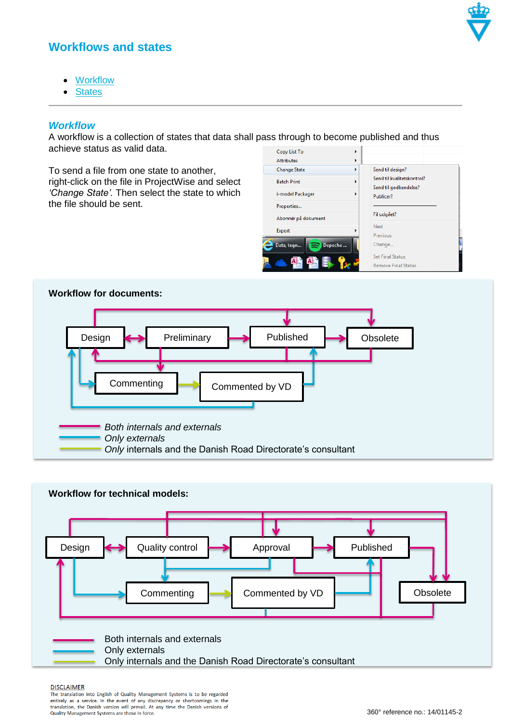

# **Workflows and states**

- [Workflow](#page-0-0)
- **[States](#page-2-0)**

### <span id="page-0-0"></span>*Workflow*

A workflow is a collection of states that data shall pass through to become published and thus achieve status as valid data.

To send a file from one state to another, right-click on the file in ProjectWise and select *'Change State'.* Then select the state to which the file should be sent.

|  | ັ                          |   |                                                                                      |
|--|----------------------------|---|--------------------------------------------------------------------------------------|
|  | Copy List To               | ۰ |                                                                                      |
|  | <b>Attributes</b>          | Þ |                                                                                      |
|  | <b>Change State</b>        | Þ | Send til design?<br>Send til kvalitetskontrol?<br>Send til godkendelse?<br>Publicer? |
|  | <b>Batch Print</b>         | ▶ |                                                                                      |
|  | i-model Packager           | Þ |                                                                                      |
|  | Properties                 |   |                                                                                      |
|  | Abonnér på dokument        |   | Fil udgået?                                                                          |
|  | Export                     |   | Next                                                                                 |
|  |                            |   | Previous                                                                             |
|  | Depeche<br>Data, tegn<br>∍ |   | Change                                                                               |
|  |                            |   | <b>Set Final Status</b><br><b>Remove Final Status</b>                                |





#### **DISCLAIMER**

The translation into English of Quality Management Systems is to be regarded in entries a service. In the event of any discrepancy or shortcomings in the<br>entirely as a service. In the event of any discrepancy or shortcomings in the<br>translation, the Danish version will prevail. At any time the Danis Quality Management Systems are those in force.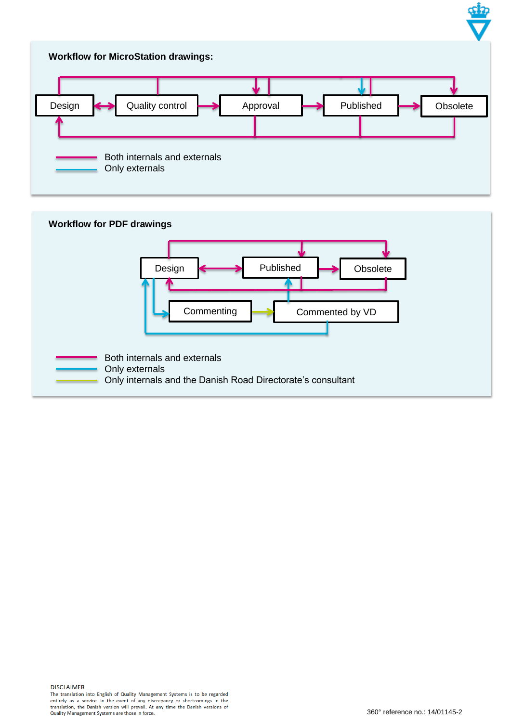![](_page_1_Figure_0.jpeg)

![](_page_1_Figure_1.jpeg)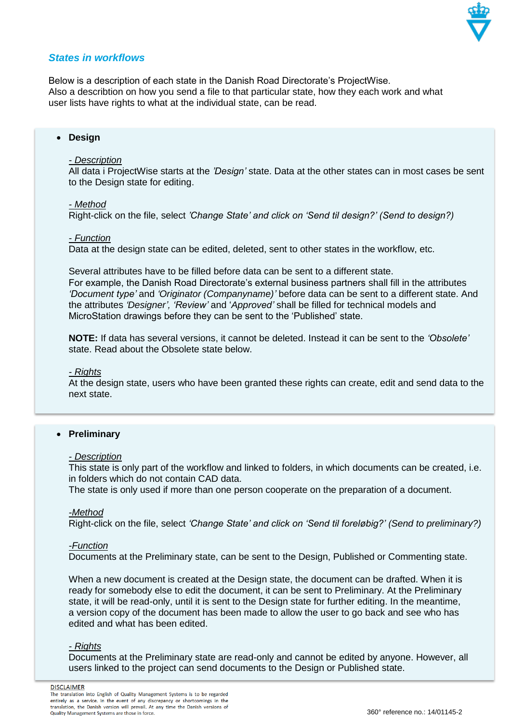![](_page_2_Picture_0.jpeg)

## <span id="page-2-0"></span>*States in workflows*

Below is a description of each state in the Danish Road Directorate's ProjectWise. Also a describtion on how you send a file to that particular state, how they each work and what user lists have rights to what at the individual state, can be read.

### **Design**

#### *- Description*

All data i ProjectWise starts at the *'Design'* state. Data at the other states can in most cases be sent to the Design state for editing.

#### *- Method*

Right-click on the file, select *'Change State' and click on 'Send til design?' (Send to design?)*

#### *- Function*

Data at the design state can be edited, deleted, sent to other states in the workflow, etc.

Several attributes have to be filled before data can be sent to a different state.

For example, the Danish Road Directorate's external business partners shall fill in the attributes *'Document type'* and *'Originator (Companyname)'* before data can be sent to a different state. And the attributes *'Designer', 'Review'* and '*Approved'* shall be filled for technical models and MicroStation drawings before they can be sent to the 'Published' state.

**NOTE:** If data has several versions, it cannot be deleted. Instead it can be sent to the *'Obsolete'*  state. Read about the Obsolete state below.

#### *- Rights*

At the design state, users who have been granted these rights can create, edit and send data to the next state.

#### **Preliminary**

#### *- Description*

This state is only part of the workflow and linked to folders, in which documents can be created, i.e. in folders which do not contain CAD data.

The state is only used if more than one person cooperate on the preparation of a document.

#### *-Method*

Right-click on the file, select *'Change State' and click on 'Send til foreløbig?' (Send to preliminary?)*

#### *-Function*

Documents at the Preliminary state, can be sent to the Design, Published or Commenting state.

When a new document is created at the Design state, the document can be drafted. When it is ready for somebody else to edit the document, it can be sent to Preliminary. At the Preliminary state, it will be read-only, until it is sent to the Design state for further editing. In the meantime, a version copy of the document has been made to allow the user to go back and see who has edited and what has been edited.

#### *- Rights*

Documents at the Preliminary state are read-only and cannot be edited by anyone. However, all users linked to the project can send documents to the Design or Published state.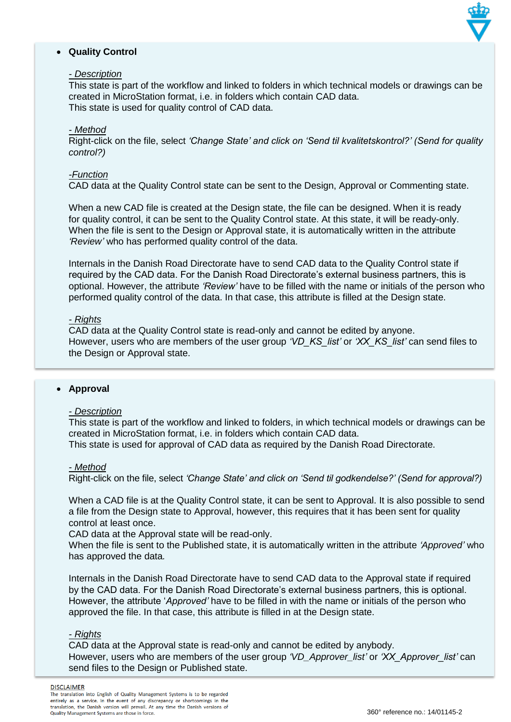![](_page_3_Picture_0.jpeg)

## **Quality Control**

### *- Description*

This state is part of the workflow and linked to folders in which technical models or drawings can be created in MicroStation format, i.e. in folders which contain CAD data. This state is used for quality control of CAD data.

### *- Method*

Right-click on the file, select *'Change State' and click on 'Send til kvalitetskontrol?' (Send for quality control?)*

### *-Function*

CAD data at the Quality Control state can be sent to the Design, Approval or Commenting state.

When a new CAD file is created at the Design state, the file can be designed. When it is ready for quality control, it can be sent to the Quality Control state. At this state, it will be ready-only. When the file is sent to the Design or Approval state, it is automatically written in the attribute *'Review'* who has performed quality control of the data.

Internals in the Danish Road Directorate have to send CAD data to the Quality Control state if required by the CAD data. For the Danish Road Directorate's external business partners, this is optional. However, the attribute *'Review'* have to be filled with the name or initials of the person who performed quality control of the data. In that case, this attribute is filled at the Design state.

### *- Rights*

CAD data at the Quality Control state is read-only and cannot be edited by anyone. However, users who are members of the user group *'VD\_KS\_list'* or *'XX\_KS\_list'* can send files to the Design or Approval state.

#### **Approval**

#### *- Description*

This state is part of the workflow and linked to folders, in which technical models or drawings can be created in MicroStation format, i.e. in folders which contain CAD data.

This state is used for approval of CAD data as required by the Danish Road Directorate.

### *- Method*

Right-click on the file, select *'Change State' and click on 'Send til godkendelse?' (Send for approval?)*

When a CAD file is at the Quality Control state, it can be sent to Approval. It is also possible to send a file from the Design state to Approval, however, this requires that it has been sent for quality control at least once.

CAD data at the Approval state will be read-only.

When the file is sent to the Published state, it is automatically written in the attribute *'Approved'* who has approved the data*.*

Internals in the Danish Road Directorate have to send CAD data to the Approval state if required by the CAD data. For the Danish Road Directorate's external business partners, this is optional. However, the attribute '*Approved'* have to be filled in with the name or initials of the person who approved the file. In that case, this attribute is filled in at the Design state.

#### *- Rights*

CAD data at the Approval state is read-only and cannot be edited by anybody. However, users who are members of the user group *'VD\_Approver\_list'* or *'XX\_Approver\_list'* can send files to the Design or Published state.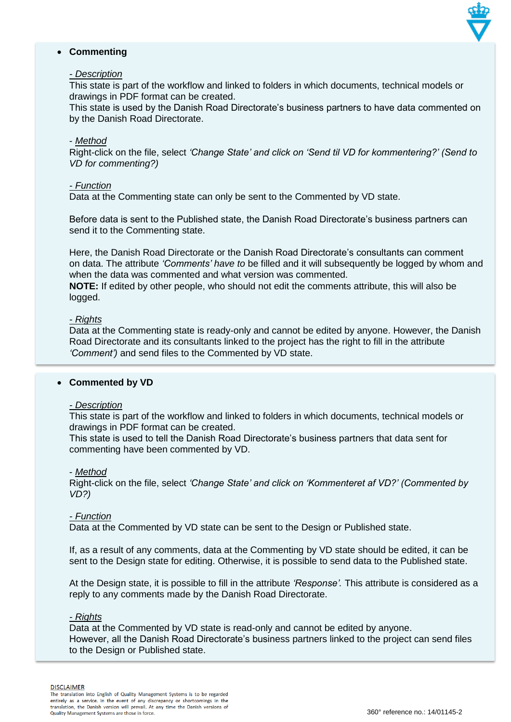![](_page_4_Picture_0.jpeg)

### **Commenting**

### *- Description*

This state is part of the workflow and linked to folders in which documents, technical models or drawings in PDF format can be created.

This state is used by the Danish Road Directorate's business partners to have data commented on by the Danish Road Directorate.

#### - *Method*

Right-click on the file, select *'Change State' and click on 'Send til VD for kommentering?' (Send to VD for commenting?)*

### *- Function*

Data at the Commenting state can only be sent to the Commented by VD state.

Before data is sent to the Published state, the Danish Road Directorate's business partners can send it to the Commenting state.

Here, the Danish Road Directorate or the Danish Road Directorate's consultants can comment on data. The attribute *'Comments' have to* be filled and it will subsequently be logged by whom and when the data was commented and what version was commented.

**NOTE:** If edited by other people, who should not edit the comments attribute, this will also be logged.

#### *- Rights*

Data at the Commenting state is ready-only and cannot be edited by anyone. However, the Danish Road Directorate and its consultants linked to the project has the right to fill in the attribute *'Comment')* and send files to the Commented by VD state.

### **Commented by VD**

#### *- Description*

This state is part of the workflow and linked to folders in which documents, technical models or drawings in PDF format can be created.

This state is used to tell the Danish Road Directorate's business partners that data sent for commenting have been commented by VD.

#### - *Method*

Right-click on the file, select *'Change State' and click on 'Kommenteret af VD?' (Commented by VD?)*

### *- Function*

Data at the Commented by VD state can be sent to the Design or Published state.

If, as a result of any comments, data at the Commenting by VD state should be edited, it can be sent to the Design state for editing. Otherwise, it is possible to send data to the Published state.

At the Design state, it is possible to fill in the attribute *'Response'.* This attribute is considered as a reply to any comments made by the Danish Road Directorate.

#### *- Rights*

Data at the Commented by VD state is read-only and cannot be edited by anyone. However, all the Danish Road Directorate's business partners linked to the project can send files to the Design or Published state.

**DISCLAIMER**